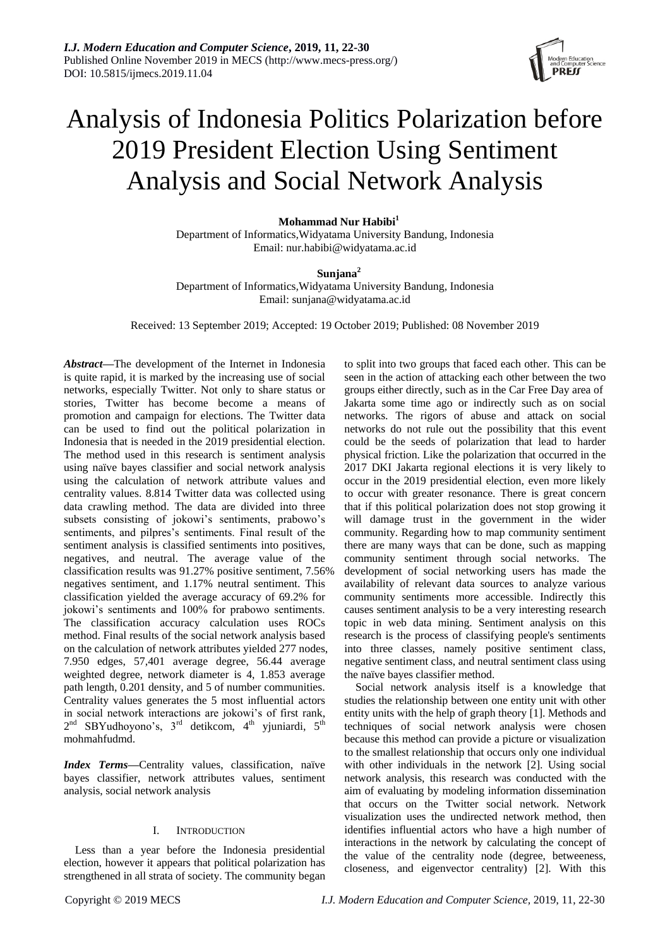

# Analysis of Indonesia Politics Polarization before 2019 President Election Using Sentiment Analysis and Social Network Analysis

**Mohammad Nur Habibi<sup>1</sup>**

Department of Informatics*,*Widyatama University Bandung, Indonesia Email: nur.habibi@widyatama.ac.id

**Sunjana<sup>2</sup>**

Department of Informatics*,*Widyatama University Bandung, Indonesia Email: sunjana@widyatama.ac.id

Received: 13 September 2019; Accepted: 19 October 2019; Published: 08 November 2019

*Abstract***—**The development of the Internet in Indonesia is quite rapid, it is marked by the increasing use of social networks, especially Twitter. Not only to share status or stories, Twitter has become become a means of promotion and campaign for elections. The Twitter data can be used to find out the political polarization in Indonesia that is needed in the 2019 presidential election. The method used in this research is sentiment analysis using naïve bayes classifier and social network analysis using the calculation of network attribute values and centrality values. 8.814 Twitter data was collected using data crawling method. The data are divided into three subsets consisting of jokowi's sentiments, prabowo's sentiments, and pilpres's sentiments. Final result of the sentiment analysis is classified sentiments into positives, negatives, and neutral. The average value of the classification results was 91.27% positive sentiment, 7.56% negatives sentiment, and 1.17% neutral sentiment. This classification yielded the average accuracy of 69.2% for jokowi's sentiments and 100% for prabowo sentiments. The classification accuracy calculation uses ROCs method. Final results of the social network analysis based on the calculation of network attributes yielded 277 nodes, 7.950 edges, 57,401 average degree, 56.44 average weighted degree, network diameter is 4, 1.853 average path length, 0.201 density, and 5 of number communities. Centrality values generates the 5 most influential actors in social network interactions are jokowi's of first rank,  $2<sup>nd</sup>$  SBYudhoyono's,  $3<sup>rd</sup>$  detikcom,  $4<sup>th</sup>$  yjuniardi,  $5<sup>th</sup>$ mohmahfudmd.

*Index Terms*—Centrality values, classification, naïve bayes classifier, network attributes values, sentiment analysis, social network analysis

# I. INTRODUCTION

Less than a year before the Indonesia presidential election, however it appears that political polarization has strengthened in all strata of society. The community began to split into two groups that faced each other. This can be seen in the action of attacking each other between the two groups either directly, such as in the Car Free Day area of Jakarta some time ago or indirectly such as on social networks. The rigors of abuse and attack on social networks do not rule out the possibility that this event could be the seeds of polarization that lead to harder physical friction. Like the polarization that occurred in the 2017 DKI Jakarta regional elections it is very likely to occur in the 2019 presidential election, even more likely to occur with greater resonance. There is great concern that if this political polarization does not stop growing it will damage trust in the government in the wider community. Regarding how to map community sentiment there are many ways that can be done, such as mapping community sentiment through social networks. The development of social networking users has made the availability of relevant data sources to analyze various community sentiments more accessible. Indirectly this causes sentiment analysis to be a very interesting research topic in web data mining. Sentiment analysis on this research is the process of classifying people's sentiments into three classes, namely positive sentiment class, negative sentiment class, and neutral sentiment class using the na we bayes classifier method.

Social network analysis itself is a knowledge that studies the relationship between one entity unit with other entity units with the help of graph theory [1]. Methods and techniques of social network analysis were chosen because this method can provide a picture or visualization to the smallest relationship that occurs only one individual with other individuals in the network [2]. Using social network analysis, this research was conducted with the aim of evaluating by modeling information dissemination that occurs on the Twitter social network. Network visualization uses the undirected network method, then identifies influential actors who have a high number of interactions in the network by calculating the concept of the value of the centrality node (degree, betweeness, closeness, and eigenvector centrality) [2]. With this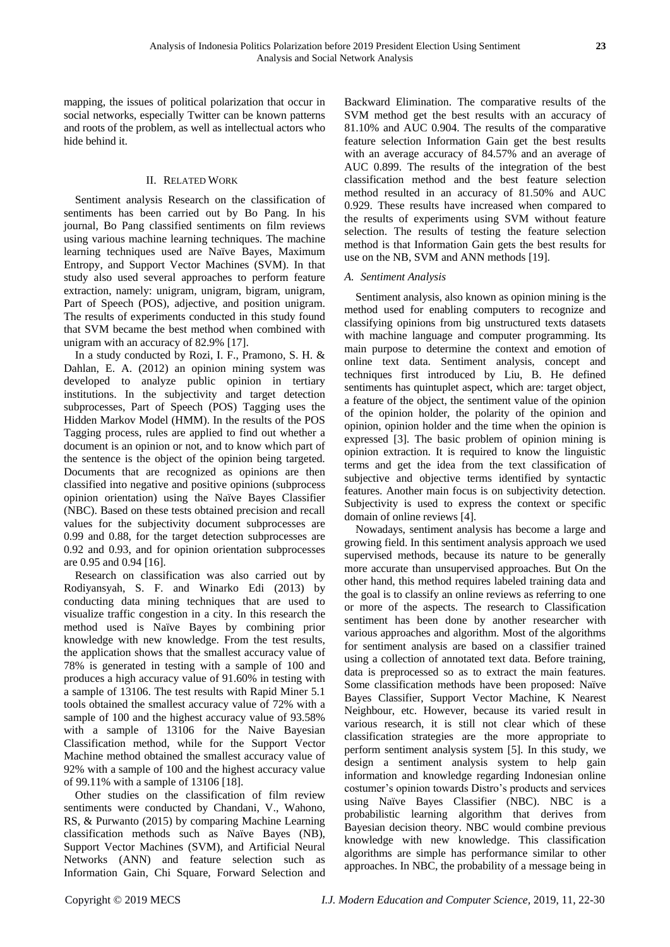mapping, the issues of political polarization that occur in social networks, especially Twitter can be known patterns and roots of the problem, as well as intellectual actors who hide behind it.

# II. RELATED WORK

Sentiment analysis Research on the classification of sentiments has been carried out by Bo Pang. In his journal, Bo Pang classified sentiments on film reviews using various machine learning techniques. The machine learning techniques used are Naïve Bayes, Maximum Entropy, and Support Vector Machines (SVM). In that study also used several approaches to perform feature extraction, namely: unigram, unigram, bigram, unigram, Part of Speech (POS), adjective, and position unigram. The results of experiments conducted in this study found that SVM became the best method when combined with unigram with an accuracy of 82.9% [17].

In a study conducted by Rozi, I. F., Pramono, S. H. & Dahlan, E. A. (2012) an opinion mining system was developed to analyze public opinion in tertiary institutions. In the subjectivity and target detection subprocesses, Part of Speech (POS) Tagging uses the Hidden Markov Model (HMM). In the results of the POS Tagging process, rules are applied to find out whether a document is an opinion or not, and to know which part of the sentence is the object of the opinion being targeted. Documents that are recognized as opinions are then classified into negative and positive opinions (subprocess opinion orientation) using the Naïve Bayes Classifier (NBC). Based on these tests obtained precision and recall values for the subjectivity document subprocesses are 0.99 and 0.88, for the target detection subprocesses are 0.92 and 0.93, and for opinion orientation subprocesses are 0.95 and 0.94 [16].

Research on classification was also carried out by Rodiyansyah, S. F. and Winarko Edi (2013) by conducting data mining techniques that are used to visualize traffic congestion in a city. In this research the method used is Naïve Bayes by combining prior knowledge with new knowledge. From the test results, the application shows that the smallest accuracy value of 78% is generated in testing with a sample of 100 and produces a high accuracy value of 91.60% in testing with a sample of 13106. The test results with Rapid Miner 5.1 tools obtained the smallest accuracy value of 72% with a sample of 100 and the highest accuracy value of 93.58% with a sample of 13106 for the Naive Bayesian Classification method, while for the Support Vector Machine method obtained the smallest accuracy value of 92% with a sample of 100 and the highest accuracy value of 99.11% with a sample of 13106 [18].

Other studies on the classification of film review sentiments were conducted by Chandani, V., Wahono, RS, & Purwanto (2015) by comparing Machine Learning classification methods such as Naïve Bayes (NB), Support Vector Machines (SVM), and Artificial Neural Networks (ANN) and feature selection such as Information Gain, Chi Square, Forward Selection and Backward Elimination. The comparative results of the SVM method get the best results with an accuracy of 81.10% and AUC 0.904. The results of the comparative feature selection Information Gain get the best results with an average accuracy of 84.57% and an average of AUC 0.899. The results of the integration of the best classification method and the best feature selection method resulted in an accuracy of 81.50% and AUC 0.929. These results have increased when compared to the results of experiments using SVM without feature selection. The results of testing the feature selection method is that Information Gain gets the best results for use on the NB, SVM and ANN methods [19].

# *A. Sentiment Analysis*

Sentiment analysis, also known as opinion mining is the method used for enabling computers to recognize and classifying opinions from big unstructured texts datasets with machine language and computer programming. Its main purpose to determine the context and emotion of online text data. Sentiment analysis, concept and techniques first introduced by Liu, B. He defined sentiments has quintuplet aspect, which are: target object, a feature of the object, the sentiment value of the opinion of the opinion holder, the polarity of the opinion and opinion, opinion holder and the time when the opinion is expressed [3]. The basic problem of opinion mining is opinion extraction. It is required to know the linguistic terms and get the idea from the text classification of subjective and objective terms identified by syntactic features. Another main focus is on subjectivity detection. Subjectivity is used to express the context or specific domain of online reviews [4].

Nowadays, sentiment analysis has become a large and growing field. In this sentiment analysis approach we used supervised methods, because its nature to be generally more accurate than unsupervised approaches. But On the other hand, this method requires labeled training data and the goal is to classify an online reviews as referring to one or more of the aspects. The research to Classification sentiment has been done by another researcher with various approaches and algorithm. Most of the algorithms for sentiment analysis are based on a classifier trained using a collection of annotated text data. Before training, data is preprocessed so as to extract the main features. Some classification methods have been proposed: Na  $\ddot{v}$ e Bayes Classifier, Support Vector Machine, K Nearest Neighbour, etc. However, because its varied result in various research, it is still not clear which of these classification strategies are the more appropriate to perform sentiment analysis system [5]. In this study, we design a sentiment analysis system to help gain information and knowledge regarding Indonesian online costumer's opinion towards Distro's products and services using Naïve Bayes Classifier (NBC). NBC is a probabilistic learning algorithm that derives from Bayesian decision theory. NBC would combine previous knowledge with new knowledge. This classification algorithms are simple has performance similar to other approaches. In NBC, the probability of a message being in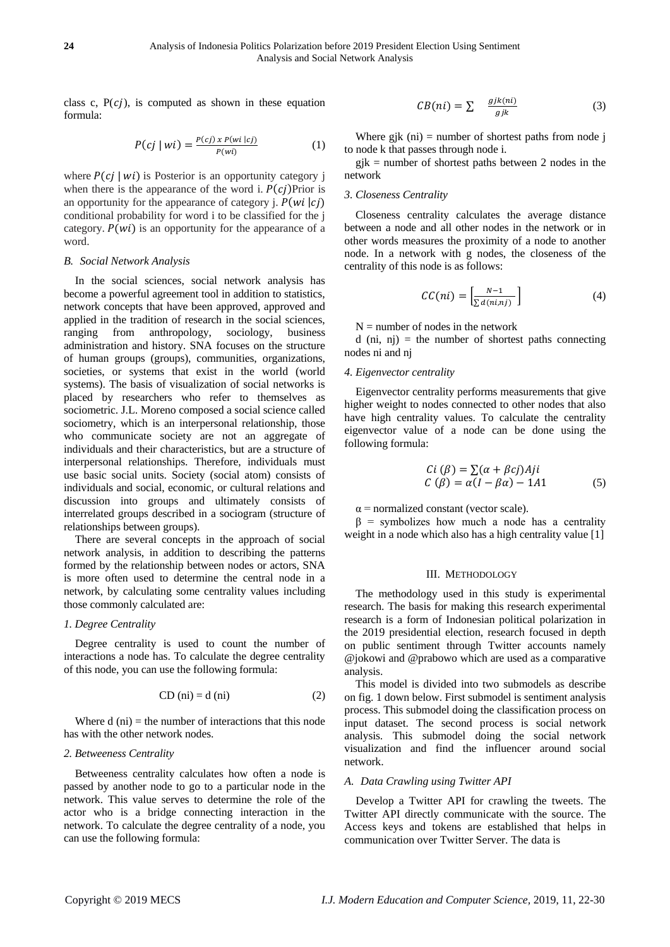class c,  $P(cj)$ , is computed as shown in these equation formula:

$$
P(cj \mid wi) = \frac{P(cj) \, x \, P(wi \mid cj)}{P(wi)}\tag{1}
$$

where  $P(cj | wi)$  is Posterior is an opportunity category j when there is the appearance of the word i.  $P(c_i)$ Prior is an opportunity for the appearance of category *j.*  $P(wi |ci)$ conditional probability for word i to be classified for the j category.  $P(wi)$  is an opportunity for the appearance of a word.

## *B. Social Network Analysis*

In the social sciences, social network analysis has become a powerful agreement tool in addition to statistics, network concepts that have been approved, approved and applied in the tradition of research in the social sciences, ranging from anthropology, sociology, business administration and history. SNA focuses on the structure of human groups (groups), communities, organizations, societies, or systems that exist in the world (world systems). The basis of visualization of social networks is placed by researchers who refer to themselves as sociometric. J.L. Moreno composed a social science called sociometry, which is an interpersonal relationship, those who communicate society are not an aggregate of individuals and their characteristics, but are a structure of interpersonal relationships. Therefore, individuals must use basic social units. Society (social atom) consists of individuals and social, economic, or cultural relations and discussion into groups and ultimately consists of interrelated groups described in a sociogram (structure of relationships between groups).

There are several concepts in the approach of social network analysis, in addition to describing the patterns formed by the relationship between nodes or actors, SNA is more often used to determine the central node in a network, by calculating some centrality values including those commonly calculated are:

# *1. Degree Centrality*

Degree centrality is used to count the number of interactions a node has. To calculate the degree centrality of this node, you can use the following formula:

$$
CD (ni) = d (ni)
$$
 (2)

Where  $d$  (ni) = the number of interactions that this node has with the other network nodes.

## *2. Betweeness Centrality*

Betweeness centrality calculates how often a node is passed by another node to go to a particular node in the network. This value serves to determine the role of the actor who is a bridge connecting interaction in the network. To calculate the degree centrality of a node, you can use the following formula:

$$
CB(ni) = \sum \frac{gjk(ni)}{gjk} \tag{3}
$$

Where gjk  $(ni)$  = number of shortest paths from node j to node k that passes through node i.

 $gjk$  = number of shortest paths between 2 nodes in the network

# *3. Closeness Centrality*

Closeness centrality calculates the average distance between a node and all other nodes in the network or in other words measures the proximity of a node to another node. In a network with g nodes, the closeness of the centrality of this node is as follows:

$$
CC(ni) = \left[\frac{N-1}{\sum d(ni, nj)}\right]
$$
 (4)

 $N =$  number of nodes in the network

d (ni, nj) = the number of shortest paths connecting nodes ni and nj

## *4. Eigenvector centrality*

Eigenvector centrality performs measurements that give higher weight to nodes connected to other nodes that also have high centrality values. To calculate the centrality eigenvector value of a node can be done using the following formula:

$$
Ci (\beta) = \sum (\alpha + \beta c j) Aji
$$
  
\n
$$
C (\beta) = \alpha (I - \beta \alpha) - 1A1
$$
 (5)

 $\alpha$  = normalized constant (vector scale).

 $β =$  symbolizes how much a node has a centrality weight in a node which also has a high centrality value [1]

#### III. METHODOLOGY

The methodology used in this study is experimental research. The basis for making this research experimental research is a form of Indonesian political polarization in the 2019 presidential election, research focused in depth on public sentiment through Twitter accounts namely @jokowi and @prabowo which are used as a comparative analysis.

This model is divided into two submodels as describe on fig. 1 down below. First submodel is sentiment analysis process. This submodel doing the classification process on input dataset. The second process is social network analysis. This submodel doing the social network visualization and find the influencer around social network.

## *A. Data Crawling using Twitter API*

Develop a Twitter API for crawling the tweets. The Twitter API directly communicate with the source. The Access keys and tokens are established that helps in communication over Twitter Server. The data is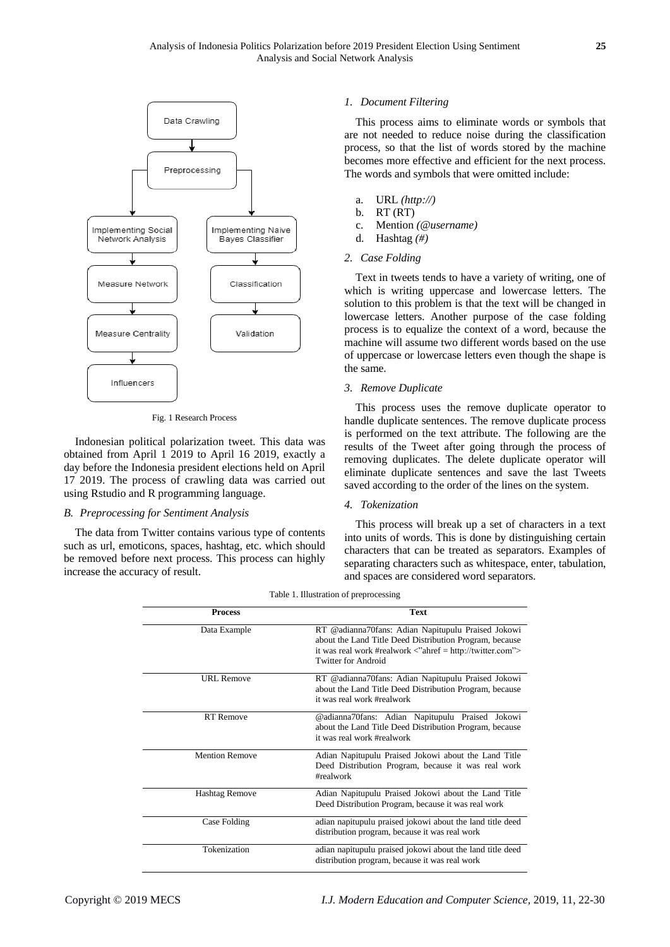

Fig. 1 Research Process

Indonesian political polarization tweet. This data was obtained from April 1 2019 to April 16 2019, exactly a day before the Indonesia president elections held on April 17 2019. The process of crawling data was carried out using Rstudio and R programming language.

## *B. Preprocessing for Sentiment Analysis*

The data from Twitter contains various type of contents such as url, emoticons, spaces, hashtag, etc. which should be removed before next process. This process can highly increase the accuracy of result.

## *1. Document Filtering*

This process aims to eliminate words or symbols that are not needed to reduce noise during the classification process, so that the list of words stored by the machine becomes more effective and efficient for the next process. The words and symbols that were omitted include:

- a. URL *(http://)*
- b. RT (RT)
- c. Mention *(@username)*
- d. Hashtag *(#)*

#### *2. Case Folding*

Text in tweets tends to have a variety of writing, one of which is writing uppercase and lowercase letters. The solution to this problem is that the text will be changed in lowercase letters. Another purpose of the case folding process is to equalize the context of a word, because the machine will assume two different words based on the use of uppercase or lowercase letters even though the shape is the same.

# *3. Remove Duplicate*

This process uses the remove duplicate operator to handle duplicate sentences. The remove duplicate process is performed on the text attribute. The following are the results of the Tweet after going through the process of removing duplicates. The delete duplicate operator will eliminate duplicate sentences and save the last Tweets saved according to the order of the lines on the system.

## *4. Tokenization*

This process will break up a set of characters in a text into units of words. This is done by distinguishing certain characters that can be treated as separators. Examples of separating characters such as whitespace, enter, tabulation, and spaces are considered word separators.

| <b>Process</b>        | <b>Text</b>                                                                                                                                                                                                       |
|-----------------------|-------------------------------------------------------------------------------------------------------------------------------------------------------------------------------------------------------------------|
| Data Example          | RT @adianna70fans: Adian Napitupulu Praised Jokowi<br>about the Land Title Deed Distribution Program, because<br>it was real work #realwork $\langle$ "ahref = http://twitter.com"><br><b>Twitter for Android</b> |
| URL Remove            | RT @adianna70fans: Adian Napitupulu Praised Jokowi<br>about the Land Title Deed Distribution Program, because<br>it was real work #realwork                                                                       |
| <b>RT</b> Remove      | @adianna70fans: Adian Napitupulu Praised Jokowi<br>about the Land Title Deed Distribution Program, because<br>it was real work #realwork                                                                          |
| <b>Mention Remove</b> | Adian Napitupulu Praised Jokowi about the Land Title<br>Deed Distribution Program, because it was real work<br>#realwork                                                                                          |
| <b>Hashtag Remove</b> | Adian Napitupulu Praised Jokowi about the Land Title<br>Deed Distribution Program, because it was real work                                                                                                       |
| Case Folding          | adian napitupulu praised jokowi about the land title deed<br>distribution program, because it was real work                                                                                                       |
| Tokenization          | adian napitupulu praised jokowi about the land title deed<br>distribution program, because it was real work                                                                                                       |

Table 1. Illustration of preprocessing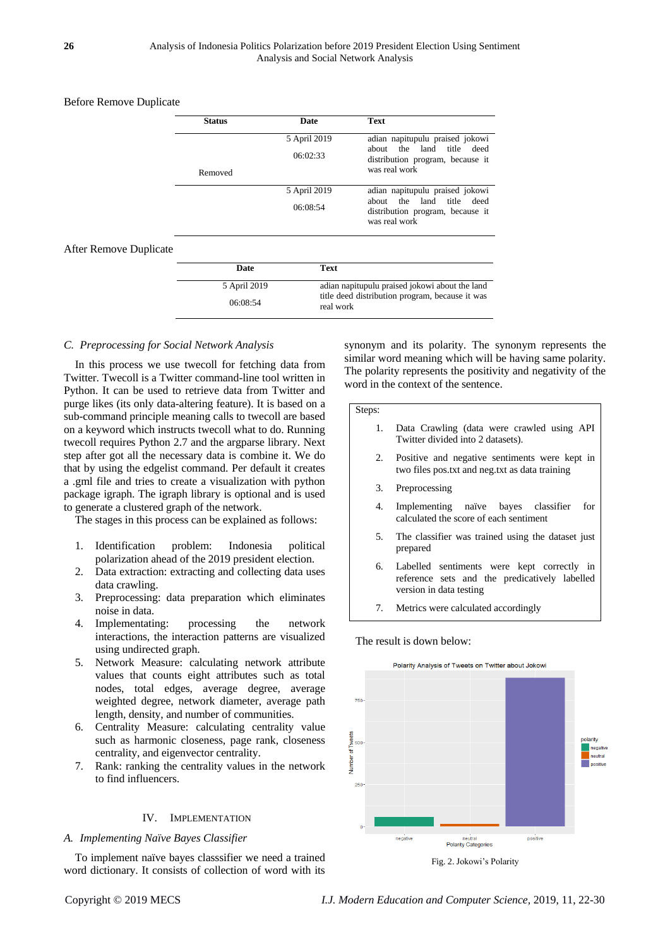# Before Remove Duplicate

| <b>Status</b> | <b>Date</b>  | <b>Text</b>                                                                    |
|---------------|--------------|--------------------------------------------------------------------------------|
|               | 5 April 2019 | adian napitupulu praised jokowi                                                |
|               | 06:02:33     | about the land title deed<br>distribution program, because it                  |
| Removed       |              | was real work                                                                  |
|               | 5 April 2019 | adian napitupulu praised jokowi                                                |
|               | 06:08:54     | about the land title deed<br>distribution program, because it<br>was real work |

# After Remove Duplicat

| Date         | <b>Text</b>                                                  |
|--------------|--------------------------------------------------------------|
| 5 April 2019 | adian napitupulu praised jokowi about the land               |
| 06:08:54     | title deed distribution program, because it was<br>real work |

# *C. Preprocessing for Social Network Analysis*

In this process we use twecoll for fetching data from Twitter. Twecoll is a Twitter command-line tool written in Python. It can be used to retrieve data from Twitter and purge likes (its only data-altering feature). It is based on a sub-command principle meaning calls to twecoll are based on a keyword which instructs twecoll what to do. Running twecoll requires Python 2.7 and the argparse library. Next step after got all the necessary data is combine it. We do that by using the edgelist command. Per default it creates a .gml file and tries to create a visualization with python package igraph. The igraph library is optional and is used to generate a clustered graph of the network.

The stages in this process can be explained as follows:

- 1. Identification problem: Indonesia political polarization ahead of the 2019 president election.
- 2. Data extraction: extracting and collecting data uses data crawling.
- 3. Preprocessing: data preparation which eliminates noise in data.
- 4. Implementating: processing the network interactions, the interaction patterns are visualized using undirected graph.
- 5. Network Measure: calculating network attribute values that counts eight attributes such as total nodes, total edges, average degree, average weighted degree, network diameter, average path length, density, and number of communities.
- 6. Centrality Measure: calculating centrality value such as harmonic closeness, page rank, closeness centrality, and eigenvector centrality.
- 7. Rank: ranking the centrality values in the network to find influencers.

# IV. IMPLEMENTATION

#### *A. Implementing Naïve Bayes Classifier*

To implement na we bayes classsifier we need a trained word dictionary. It consists of collection of word with its synonym and its polarity. The synonym represents the similar word meaning which will be having same polarity. The polarity represents the positivity and negativity of the word in the context of the sentence.

Steps:

- 1. Data Crawling (data were crawled using API Twitter divided into 2 datasets).
- 2. Positive and negative sentiments were kept in two files pos.txt and neg.txt as data training
- 3. Preprocessing
- 4. Implementing naïve bayes classifier for calculated the score of each sentiment
- 5. The classifier was trained using the dataset just prepared
- 6. Labelled sentiments were kept correctly in reference sets and the predicatively labelled version in data testing
- 7. Metrics were calculated accordingly

The result is down below:



Fig. 2. Jokowi's Polarity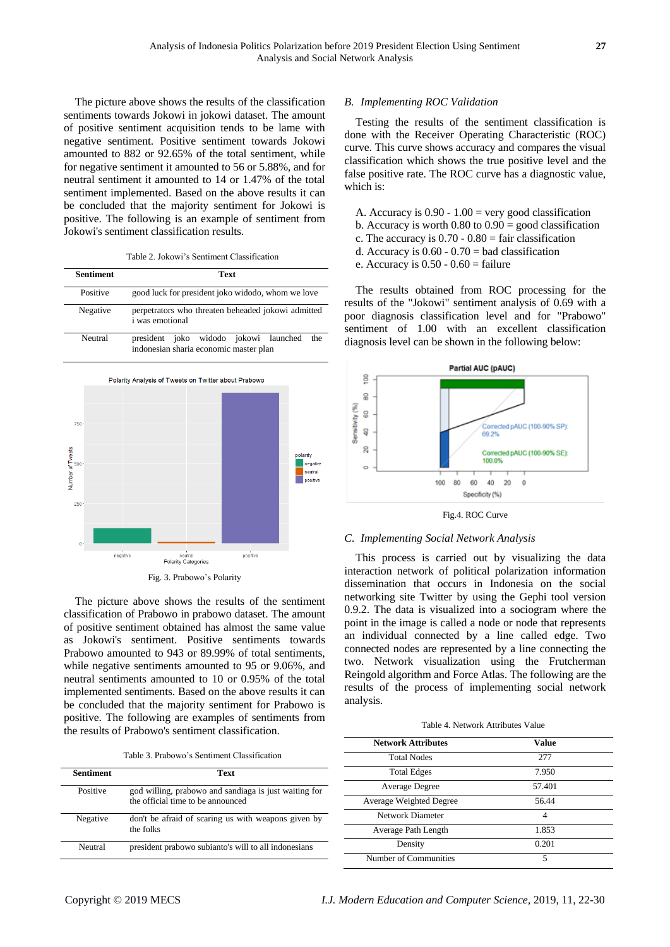The picture above shows the results of the classification sentiments towards Jokowi in jokowi dataset. The amount of positive sentiment acquisition tends to be lame with negative sentiment. Positive sentiment towards Jokowi amounted to 882 or 92.65% of the total sentiment, while for negative sentiment it amounted to 56 or 5.88%, and for neutral sentiment it amounted to 14 or 1.47% of the total sentiment implemented. Based on the above results it can be concluded that the majority sentiment for Jokowi is positive. The following is an example of sentiment from Jokowi's sentiment classification results.

Table 2. Jokowi's Sentiment Classification

| Sentiment | Text                                                                                   |
|-----------|----------------------------------------------------------------------------------------|
| Positive  | good luck for president joko widodo, whom we love                                      |
| Negative  | perpetrators who threaten beheaded jokowi admitted<br><i>i</i> was emotional           |
| Neutral   | president joko widodo jokowi launched<br>the<br>indonesian sharia economic master plan |





The picture above shows the results of the sentiment classification of Prabowo in prabowo dataset. The amount of positive sentiment obtained has almost the same value as Jokowi's sentiment. Positive sentiments towards Prabowo amounted to 943 or 89.99% of total sentiments, while negative sentiments amounted to 95 or 9.06%, and neutral sentiments amounted to 10 or 0.95% of the total implemented sentiments. Based on the above results it can be concluded that the majority sentiment for Prabowo is positive. The following are examples of sentiments from the results of Prabowo's sentiment classification.

| Sentiment | Text                                                                                       |
|-----------|--------------------------------------------------------------------------------------------|
| Positive  | god willing, prabowo and sandiaga is just waiting for<br>the official time to be announced |
| Negative  | don't be afraid of scaring us with weapons given by<br>the folks                           |
| Neutral   | president prabowo subianto's will to all indonesians                                       |

## *B. Implementing ROC Validation*

Testing the results of the sentiment classification is done with the Receiver Operating Characteristic (ROC) curve. This curve shows accuracy and compares the visual classification which shows the true positive level and the false positive rate. The ROC curve has a diagnostic value, which is:

- A. Accuracy is  $0.90 1.00 =$  very good classification
- b. Accuracy is worth  $0.80$  to  $0.90 =$  good classification
- c. The accuracy is  $0.70 0.80 =$  fair classification
- d. Accuracy is  $0.60 0.70 =$  bad classification
- e. Accuracy is  $0.50 0.60 = \text{failure}$

The results obtained from ROC processing for the results of the "Jokowi" sentiment analysis of 0.69 with a poor diagnosis classification level and for "Prabowo" sentiment of 1.00 with an excellent classification diagnosis level can be shown in the following below:





## *C. Implementing Social Network Analysis*

This process is carried out by visualizing the data interaction network of political polarization information dissemination that occurs in Indonesia on the social networking site Twitter by using the Gephi tool version 0.9.2. The data is visualized into a sociogram where the point in the image is called a node or node that represents an individual connected by a line called edge. Two connected nodes are represented by a line connecting the two. Network visualization using the Frutcherman Reingold algorithm and Force Atlas. The following are the results of the process of implementing social network analysis.

Table 4. Network Attributes Value

| <b>Network Attributes</b> | <b>Value</b> |  |
|---------------------------|--------------|--|
| <b>Total Nodes</b>        | 277          |  |
| <b>Total Edges</b>        | 7.950        |  |
| Average Degree            | 57.401       |  |
| Average Weighted Degree   | 56.44        |  |
| Network Diameter          | 4            |  |
| Average Path Length       | 1.853        |  |
| Density                   | 0.201        |  |
| Number of Communities     | 5            |  |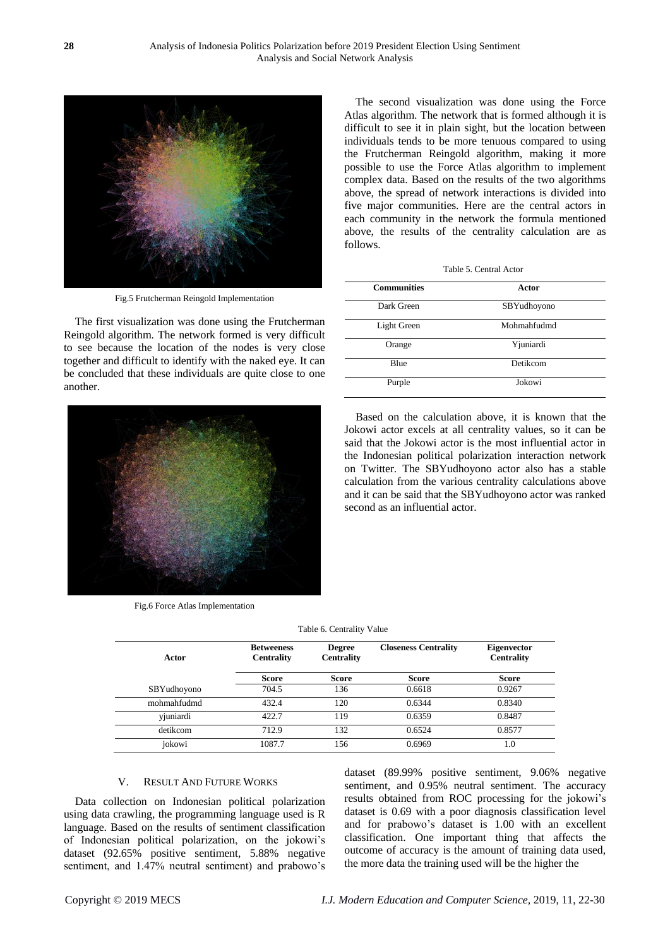

Fig.5 Frutcherman Reingold Implementation

The first visualization was done using the Frutcherman Reingold algorithm. The network formed is very difficult to see because the location of the nodes is very close together and difficult to identify with the naked eye. It can be concluded that these individuals are quite close to one another.



Fig.6 Force Atlas Implementation

The second visualization was done using the Force Atlas algorithm. The network that is formed although it is difficult to see it in plain sight, but the location between individuals tends to be more tenuous compared to using the Frutcherman Reingold algorithm, making it more possible to use the Force Atlas algorithm to implement complex data. Based on the results of the two algorithms above, the spread of network interactions is divided into five major communities. Here are the central actors in each community in the network the formula mentioned above, the results of the centrality calculation are as follows.

| <b>Communities</b> | Actor       |  |
|--------------------|-------------|--|
| Dark Green         | SBYudhoyono |  |
| Light Green        | Mohmahfudmd |  |
| Orange             | Yjuniardi   |  |
| Blue               | Detikcom    |  |
| Purple             | Jokowi      |  |

Based on the calculation above, it is known that the Jokowi actor excels at all centrality values, so it can be said that the Jokowi actor is the most influential actor in the Indonesian political polarization interaction network on Twitter. The SBYudhoyono actor also has a stable calculation from the various centrality calculations above and it can be said that the SBYudhoyono actor was ranked second as an influential actor.

Table 6. Centrality Value

| Actor       | <b>Betweeness</b><br><b>Centrality</b> | <b>Degree</b><br><b>Centrality</b> | <b>Closeness Centrality</b> | <b>Eigenvector</b><br><b>Centrality</b> |
|-------------|----------------------------------------|------------------------------------|-----------------------------|-----------------------------------------|
|             | Score                                  | <b>Score</b>                       | <b>Score</b>                | <b>Score</b>                            |
| SBYudhoyono | 704.5                                  | 136                                | 0.6618                      | 0.9267                                  |
| mohmahfudmd | 432.4                                  | 120                                | 0.6344                      | 0.8340                                  |
| vjuniardi   | 422.7                                  | 119                                | 0.6359                      | 0.8487                                  |
| detikcom    | 712.9                                  | 132                                | 0.6524                      | 0.8577                                  |
| jokowi      | 1087.7                                 | 156                                | 0.6969                      | 1.0                                     |

# V. RESULT AND FUTURE WORKS

Data collection on Indonesian political polarization using data crawling, the programming language used is R language. Based on the results of sentiment classification of Indonesian political polarization, on the jokowi's dataset (92.65% positive sentiment, 5.88% negative sentiment, and 1.47% neutral sentiment) and prabowo's dataset (89.99% positive sentiment, 9.06% negative sentiment, and 0.95% neutral sentiment. The accuracy results obtained from ROC processing for the jokowi's dataset is 0.69 with a poor diagnosis classification level and for prabowo's dataset is 1.00 with an excellent classification. One important thing that affects the outcome of accuracy is the amount of training data used, the more data the training used will be the higher the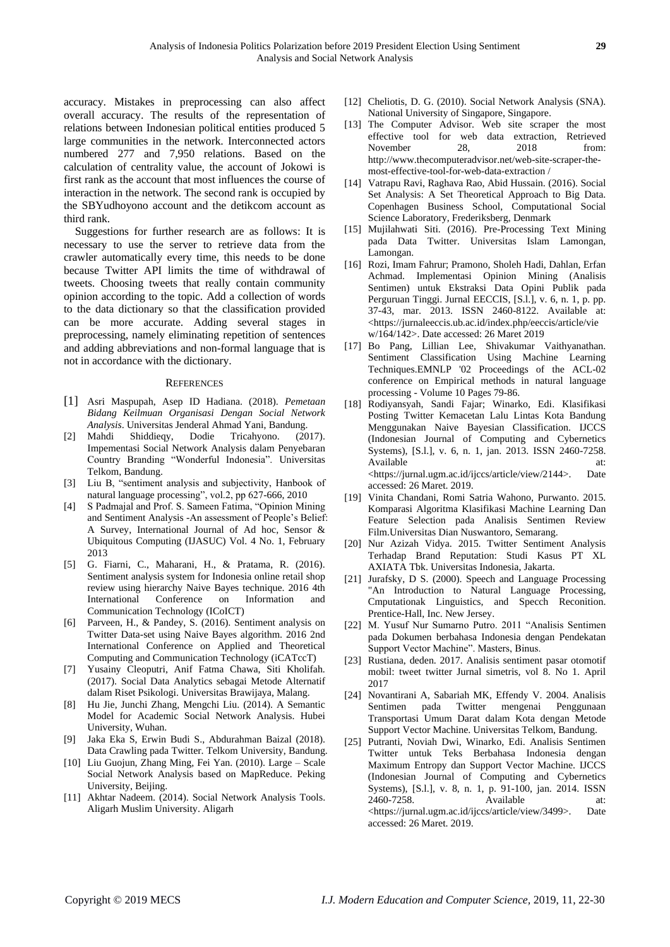accuracy. Mistakes in preprocessing can also affect overall accuracy. The results of the representation of relations between Indonesian political entities produced 5 large communities in the network. Interconnected actors numbered 277 and 7,950 relations. Based on the calculation of centrality value, the account of Jokowi is first rank as the account that most influences the course of interaction in the network. The second rank is occupied by the SBYudhoyono account and the detikcom account as third rank.

Suggestions for further research are as follows: It is necessary to use the server to retrieve data from the crawler automatically every time, this needs to be done because Twitter API limits the time of withdrawal of tweets. Choosing tweets that really contain community opinion according to the topic. Add a collection of words to the data dictionary so that the classification provided can be more accurate. Adding several stages in preprocessing, namely eliminating repetition of sentences and adding abbreviations and non-formal language that is not in accordance with the dictionary.

#### **REFERENCES**

- [1] Asri Maspupah, Asep ID Hadiana. (2018). *Pemetaan Bidang Keilmuan Organisasi Dengan Social Network Analysis*. Universitas Jenderal Ahmad Yani, Bandung.
- [2] Mahdi Shiddieqy, Dodie Tricahyono. (2017). Impementasi Social Network Analysis dalam Penyebaran Country Branding "Wonderful Indonesia". Universitas Telkom, Bandung.
- [3] Liu B, "sentiment analysis and subjectivity, Hanbook of natural language processing", vol.2, pp 627-666, 2010
- [4] S Padmajal and Prof. S. Sameen Fatima, "Opinion Mining and Sentiment Analysis -An assessment of People's Belief: A Survey, International Journal of Ad hoc, Sensor & Ubiquitous Computing (IJASUC) Vol. 4 No. 1, February 2013
- [5] G. Fiarni, C., Maharani, H., & Pratama, R. (2016). Sentiment analysis system for Indonesia online retail shop review using hierarchy Naive Bayes technique. 2016 4th International Conference on Information and Communication Technology (ICoICT)
- [6] Parveen, H., & Pandey, S. (2016). Sentiment analysis on Twitter Data-set using Naive Bayes algorithm. 2016 2nd International Conference on Applied and Theoretical Computing and Communication Technology (iCATccT)
- [7] Yusainy Cleoputri, Anif Fatma Chawa, Siti Kholifah. (2017). Social Data Analytics sebagai Metode Alternatif dalam Riset Psikologi. Universitas Brawijaya, Malang.
- [8] Hu Jie, Junchi Zhang, Mengchi Liu. (2014). A Semantic Model for Academic Social Network Analysis. Hubei University, Wuhan.
- [9] Jaka Eka S, Erwin Budi S., Abdurahman Baizal (2018). Data Crawling pada Twitter. Telkom University, Bandung.
- [10] Liu Guojun, Zhang Ming, Fei Yan. (2010). Large Scale Social Network Analysis based on MapReduce. Peking University, Beijing.
- [11] Akhtar Nadeem. (2014). Social Network Analysis Tools. Aligarh Muslim University. Aligarh
- [12] Cheliotis, D. G. (2010). Social Network Analysis (SNA). National University of Singapore, Singapore.
- [13] The Computer Advisor. Web site scraper the most effective tool for web data extraction, Retrieved November 28, 2018 from: http://www.thecomputeradvisor.net/web-site-scraper-themost-effective-tool-for-web-data-extraction /
- [14] Vatrapu Ravi, Raghava Rao, Abid Hussain. (2016). Social Set Analysis: A Set Theoretical Approach to Big Data. Copenhagen Business School, Computational Social Science Laboratory, Frederiksberg, Denmark
- [15] Mujilahwati Siti. (2016). Pre-Processing Text Mining pada Data Twitter. Universitas Islam Lamongan, Lamongan.
- [16] Rozi, Imam Fahrur; Pramono, Sholeh Hadi, Dahlan, Erfan Achmad. Implementasi Opinion Mining (Analisis Sentimen) untuk Ekstraksi Data Opini Publik pada Perguruan Tinggi. Jurnal EECCIS, [S.l.], v. 6, n. 1, p. pp. 37-43, mar. 2013. ISSN 2460-8122. Available at: <https://jurnaleeccis.ub.ac.id/index.php/eeccis/article/vie w/164/142>. Date accessed: 26 Maret 2019
- [17] Bo Pang, Lillian Lee, Shivakumar Vaithyanathan. Sentiment Classification Using Machine Learning Techniques.EMNLP '02 Proceedings of the ACL-02 conference on Empirical methods in natural language processing - Volume 10 Pages 79-86.
- [18] Rodiyansyah, Sandi Fajar; Winarko, Edi. Klasifikasi Posting Twitter Kemacetan Lalu Lintas Kota Bandung Menggunakan Naive Bayesian Classification. IJCCS (Indonesian Journal of Computing and Cybernetics Systems), [S.l.], v. 6, n. 1, jan. 2013. ISSN 2460-7258. Available at: at: <https://jurnal.ugm.ac.id/ijccs/article/view/2144>. Date accessed: 26 Maret. 2019.
- [19] Vinita Chandani, Romi Satria Wahono, Purwanto. 2015. Komparasi Algoritma Klasifikasi Machine Learning Dan Feature Selection pada Analisis Sentimen Review Film.Universitas Dian Nuswantoro, Semarang.
- [20] Nur Azizah Vidya. 2015. Twitter Sentiment Analysis Terhadap Brand Reputation: Studi Kasus PT XL AXIATA Tbk. Universitas Indonesia, Jakarta.
- [21] Jurafsky, D S. (2000). Speech and Language Processing "An Introduction to Natural Language Processing, Cmputationak Linguistics, and Specch Reconition. Prentice-Hall, Inc. New Jersey.
- [22] M. Yusuf Nur Sumarno Putro. 2011 "Analisis Sentimen pada Dokumen berbahasa Indonesia dengan Pendekatan Support Vector Machine". Masters, Binus.
- [23] Rustiana, deden. 2017. Analisis sentiment pasar otomotif mobil: tweet twitter Jurnal simetris, vol 8. No 1. April 2017
- [24] Novantirani A, Sabariah MK, Effendy V. 2004. Analisis Sentimen pada Twitter mengenai Penggunaan Transportasi Umum Darat dalam Kota dengan Metode Support Vector Machine. Universitas Telkom, Bandung.
- [25] Putranti, Noviah Dwi, Winarko, Edi. Analisis Sentimen Twitter untuk Teks Berbahasa Indonesia dengan Maximum Entropy dan Support Vector Machine. IJCCS (Indonesian Journal of Computing and Cybernetics Systems), [S.l.], v. 8, n. 1, p. 91-100, jan. 2014. ISSN 2460-7258. Available at: <https://jurnal.ugm.ac.id/ijccs/article/view/3499>. Date accessed: 26 Maret. 2019.